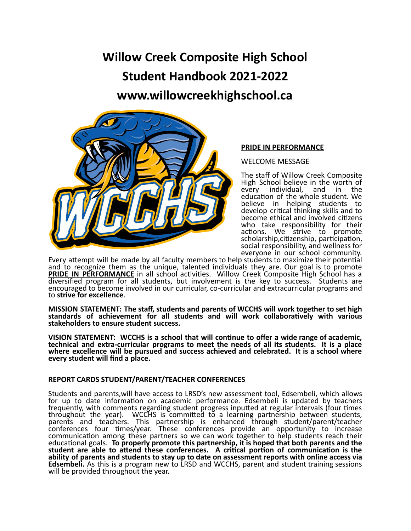# **Willow Creek Composite High School Student Handbook 2021-2022 www.willowcreekhighschool.ca**



# **PRIDE IN PERFORMANCE**

WELCOME MESSAGE

The staff of Willow Creek Composite High School believe in the worth of every individual, and in the education of the whole student. We believe in helping students to develop critical thinking skills and to become ethical and involved citizens who take responsibility for their actions. We strive to promote scholarship,citizenship, participation, social responsibility, and wellness for everyone in our school community.

Every attempt will be made by all faculty members to help students to maximize their potential and to recognize them as the unique, talented individuals they are. Our goal is to promote **PRIDE IN PERFORMANCE** in all school activities. Willow Creek Composite High School has a diversified program for all students, but involvement is the key to success. Students are encouraged to become involved in our curricular, co-curricular and extracurricular programs and to **strive for excellence**.

**MISSION STATEMENT: The staff, students and parents of WCCHS will work together to set high standards of achievement for all students and will work collaboratively with various stakeholders to ensure student success.**

**VISION STATEMENT: WCCHS is a school that will continue to offer a wide range of academic, technical and extra-curricular programs to meet the needs of all its students. It is a place where excellence will be pursued and success achieved and celebrated. It is a school where every student will find a place.**

# **REPORT CARDS STUDENT/PARENT/TEACHER CONFERENCES**

Students and parents,will have access to LRSD's new assessment tool, Edsembeli, which allows for up to date information on academic performance. Edsembeli is updated by teachers frequently, with comments regarding student progress inputted at regular intervals (four times throughout the year). WCCHS is committed to a learning partnership between students, parents and teachers. This partnership is enhanced through student/parent/teacher conferences four times/year. These conferences provide an opportunity to increase communication among these partners so we can work together to help students reach their educational goals. **To properly promote this partnership, it is hoped that both parents and the student are able to attend these conferences. A critical portion of communication is the ability of parents and students to stay up to date on assessment reports with online access via Edsembeli.** As this is a program new to LRSD and WCCHS, parent and student training sessions will be provided throughout the year.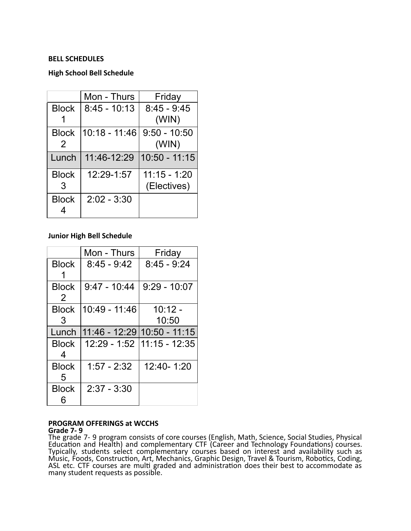# **BELL SCHEDULES**

# **High School Bell Schedule**

|                               | Mon - Thurs    | Friday                        |
|-------------------------------|----------------|-------------------------------|
| <b>Block</b>                  | $8:45 - 10:13$ | $8:45 - 9:45$<br>(WIN)        |
| <b>Block</b><br>$\mathcal{P}$ | 10:18 - 11:46  | $9:50 - 10:50$<br>(WIN)       |
| Lunch                         | 11:46-12:29    | $10:50 - 11:15$               |
| <b>Block</b><br>3             | 12:29-1:57     | $11:15 - 1:20$<br>(Electives) |
| <b>Block</b>                  | $2:02 - 3:30$  |                               |

# **Junior High Bell Schedule**

|                   | Mon - Thurs                 | Friday                      |
|-------------------|-----------------------------|-----------------------------|
| <b>Block</b><br>1 | $8:45 - 9:42$               | $8:45 - 9:24$               |
| <b>Block</b><br>2 | $9:47 - 10:44$              | $9:29 - 10:07$              |
| <b>Block</b><br>3 | 10:49 - 11:46               | $10:12 -$<br>10:50          |
|                   |                             |                             |
| Lunch             | 11:46 - 12:29 10:50 - 11:15 |                             |
| <b>Block</b><br>4 |                             | 12:29 - 1:52  11:15 - 12:35 |
| <b>Block</b><br>5 | $1:57 - 2:32$               | 12:40-1:20                  |

#### **PROGRAM OFFERINGS at WCCHS Grade 7- 9**

The grade 7- 9 program consists of core courses (English, Math, Science, Social Studies, Physical Education and Health) and complementary CTF (Career and Technology Foundations) courses. Typically, students select complementary courses based on interest and availability such as Music, Foods, Construction, Art, Mechanics, Graphic Design, Travel & Tourism, Robotics, Coding, ASL etc. CTF courses are multi graded and administration does their best to accommodate as many student requests as possible.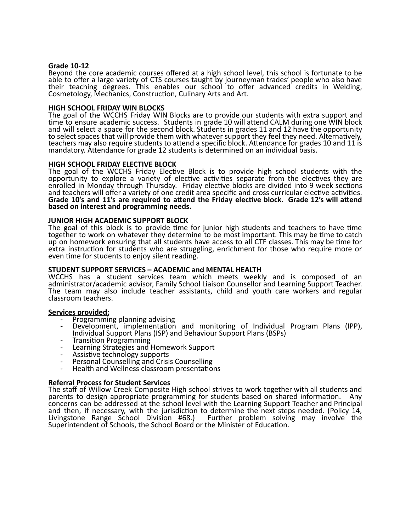## **Grade 10-12**

Beyond the core academic courses offered at a high school level, this school is fortunate to be able to offer a large variety of CTS courses taught by journeyman trades' people who also have their teaching degrees. This enables our school to offer advanced credits in Welding, Cosmetology, Mechanics, Construction, Culinary Arts and Art.

## **HIGH SCHOOL FRIDAY WIN BLOCKS**

The goal of the WCCHS Friday WIN Blocks are to provide our students with extra support and time to ensure academic success. Students in grade 10 will attend CALM during one WIN block and will select a space for the second block. Students in grades 11 and 12 have the opportunity to select spaces that will provide them with whatever support they feel they need. Alternatively, teachers may also require students to attend a specific block. Attendance for grades 10 and 11 is mandatory. Attendance for grade 12 students is determined on an individual basis.

## **HIGH SCHOOL FRIDAY ELECTIVE BLOCK**

The goal of the WCCHS Friday Elective Block is to provide high school students with the opportunity to explore a variety of elective activities separate from the electives they are enrolled in Monday through Thursday. Friday elective blocks are divided into 9 week sections and teachers will offer a variety of one credit area specific and cross curricular elective activities. **Grade 10's and 11's are required to attend the Friday elective block. Grade 12's will attend based on interest and programming needs.**

#### **JUNIOR HIGH ACADEMIC SUPPORT BLOCK**

The goal of this block is to provide time for junior high students and teachers to have time together to work on whatever they determine to be most important. This may be time to catch up on homework ensuring that all students have access to all CTF classes. This may be time for extra instruction for students who are struggling, enrichment for those who require more or even time for students to enjoy silent reading.

## **STUDENT SUPPORT SERVICES – ACADEMIC and MENTAL HEALTH**

WCCHS has a student services team which meets weekly and is composed of an administrator/academic advisor, Family School Liaison Counsellor and Learning Support Teacher. The team may also include teacher assistants, child and youth care workers and regular classroom teachers.

## **Services provided:**

- Programming planning advising
- Development, implementation and monitoring of Individual Program Plans (IPP), Individual Support Plans (ISP) and Behaviour Support Plans (BSPs)
- Transition Programming
- Learning Strategies and Homework Support
- Assistive technology supports<br>- Personal Counselling and Crisi
- Personal Counselling and Crisis Counselling
- Health and Wellness classroom presentations

## **Referral Process for Student Services**

The staff of Willow Creek Composite High school strives to work together with all students and parents to design appropriate programming for students based on shared information. Any concerns can be addressed at the school level with the Learning Support Teacher and Principal and then, if necessary, with the jurisdiction to determine the next steps needed. (Policy 14, Livingstone Range School Division #68.) Further problem solving may involve the Superintendent of Schools, the School Board or the Minister of Education.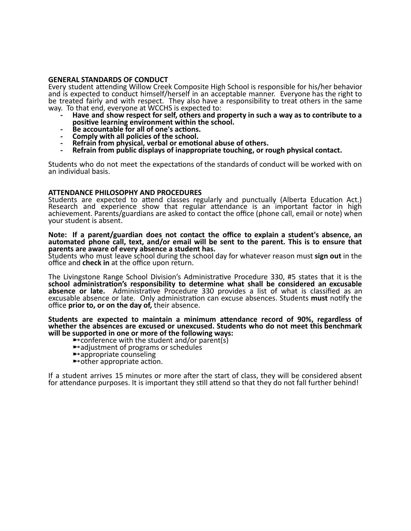## **GENERAL STANDARDS OF CONDUCT**

Every student attending Willow Creek Composite High School is responsible for his/her behavior and is expected to conduct himself/herself in an acceptable manner. Everyone has the right to be treated fairly and with respect. They also have a responsibility to treat others in the same way. To that end, everyone at WCCHS is expected to:

- **- Have and show respect for self, others and property in such a way as to contribute to a positive learning environment within the school.**
- **- Be accountable for all of one's actions.**
- **- Comply with all policies of the school.**
- **- Refrain from physical, verbal or emotional abuse of others.**
- **- Refrain from public displays of inappropriate touching, or rough physical contact.**

Students who do not meet the expectations of the standards of conduct will be worked with on an individual basis.

## **ATTENDANCE PHILOSOPHY AND PROCEDURES**

Students are expected to attend classes regularly and punctually (Alberta Education Act.) Research and experience show that regular attendance is an important factor in high achievement. Parents/guardians are asked to contact the office (phone call, email or note) when your student is absent.

#### **Note: If a parent/guardian does not contact the office to explain a student's absence, an automated phone call, text, and/or email will be sent to the parent. This is to ensure that parents are aware of every absence a student has.**

Students who must leave school during the school day for whatever reason must **sign out** in the office and **check in** at the office upon return.

The Livingstone Range School Division's Administrative Procedure 330, #5 states that it is the **school administration's responsibility to determine what shall be considered an excusable absence or late.** Administrative Procedure 330 provides a list of what is classified as an excusable absence or late. Only administration can excuse absences. Students **must** notify the office **prior to, or on the day of,** their absence.

**Students are expected to maintain a minimum attendance record of 90%, regardless of whether the absences are excused or unexcused. Students who do not meet this benchmark** will be supported in one or more of the following ways:<br>  $\rightarrow$  conference with the student and/or parent(s)<br>  $\rightarrow$  adjustment of programs or schedules<br>  $\rightarrow$  appropriate counseling<br>  $\rightarrow$  other appropriate action.

- 
- 
- 
- 

If a student arrives 15 minutes or more after the start of class, they will be considered absent for attendance purposes. It is important they still attend so that they do not fall further behind!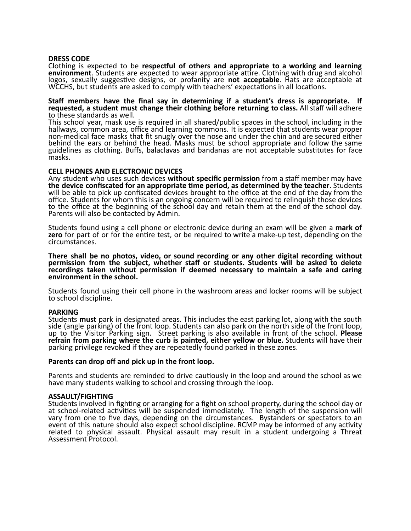#### **DRESS CODE**

Clothing is expected to be **respectful of others and appropriate to a working and learning environment**. Students are expected to wear appropriate attire. Clothing with drug and alcohol logos, sexually suggestive designs, or profanity are **not acceptable**. Hats are acceptable at WCCHS, but students are asked to comply with teachers' expectations in all locations.

#### **Staff members have the final say in determining if a student's dress is appropriate. If requested, a student must change their clothing before returning to class.** All staff will adhere to these standards as well.

This school year, mask use is required in all shared/public spaces in the school, including in the hallways, common area, office and learning commons. It is expected that students wear proper non-medical face masks that fit snugly over the nose and under the chin and are secured either behind the ears or behind the head. Masks must be school appropriate and follow the same guidelines as clothing. Buffs, balaclavas and bandanas are not acceptable substitutes for face masks.

## **CELL PHONES AND ELECTRONIC DEVICES**

Any student who uses such devices **without specific permission** from a staff member may have **the device confiscated for an appropriate time period, as determined by the teacher**. Students will be able to pick up confiscated devices brought to the office at the end of the day from the office. Students for whom this is an ongoing concern will be required to relinquish those devices to the office at the beginning of the school day and retain them at the end of the school day. Parents will also be contacted by Admin.

Students found using a cell phone or electronic device during an exam will be given a **mark of zero** for part of or for the entire test, or be required to write a make-up test, depending on the circumstances.

**There shall be no photos, video, or sound recording or any other digital recording without permission from the subject, whether staff or students. Students will be asked to delete recordings taken without permission if deemed necessary to maintain a safe and caring environment in the school.**

Students found using their cell phone in the washroom areas and locker rooms will be subject to school discipline.

#### **PARKING**

Students **must** park in designated areas. This includes the east parking lot, along with the south side (angle parking) of the front loop. Students can also park on the north side of the front loop, up to the Visitor Parking sign. Street parking is also available in front of the school. **Please refrain from parking where the curb is painted, either yellow or blue.** Students will have their parking privilege revoked if they are repeatedly found parked in these zones.

#### **Parents can drop off and pick up in the front loop.**

Parents and students are reminded to drive cautiously in the loop and around the school as we have many students walking to school and crossing through the loop.

#### **ASSAULT/FIGHTING**

Students involved in fighting or arranging for a fight on school property, during the school day or at school-related activities will be suspended immediately. The length of the suspension will vary from one to five days, depending on the circumstances. Bystanders or spectators to an event of this nature should also expect school discipline. RCMP may be informed of any activity related to physical assault. Physical assault may result in a student undergoing a Threat Assessment Protocol.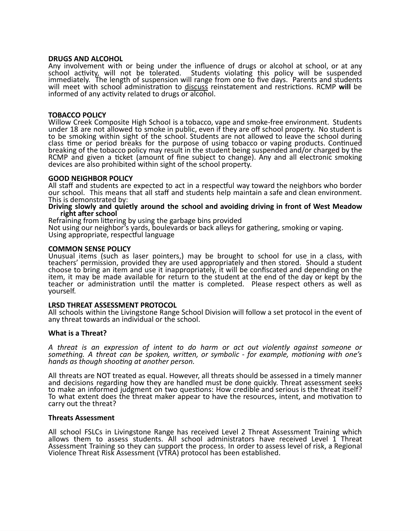#### **DRUGS AND ALCOHOL**

Any involvement with or being under the influence of drugs or alcohol at school, or at any school activity, will not be tolerated. Students violating this policy will be suspended immediately. The length of suspension will range from one to five days. Parents and students will meet with school administration to discuss reinstatement and restrictions. RCMP **will** be informed of any activity related to drugs or alcohol.

#### **TOBACCO POLICY**

Willow Creek Composite High School is a tobacco, vape and smoke-free environment. Students under 18 are not allowed to smoke in public, even if they are off school property. No student is to be smoking within sight of the school. Students are not allowed to leave the school during class time or period breaks for the purpose of using tobacco or vaping products. Continued breaking of the tobacco policy may result in the student being suspended and/or charged by the RCMP and given a ticket (amount of fine subject to change). Any and all electronic smoking devices are also prohibited within sight of the school property.

#### **GOOD NEIGHBOR POLICY**

All staff and students are expected to act in a respectful way toward the neighbors who border our school. This means that all staff and students help maintain a safe and clean environment. This is demonstrated by:

#### **Driving slowly and quietly around the school and avoiding driving in front of West Meadow right after school**

Refraining from littering by using the garbage bins provided

Not using our neighbor's yards, boulevards or back alleys for gathering, smoking or vaping. Using appropriate, respectful language

#### **COMMON SENSE POLICY**

Unusual items (such as laser pointers,) may be brought to school for use in a class, with teachers' permission, provided they are used appropriately and then stored. Should a student choose to bring an item and use it inappropriately, it will be confiscated and depending on the item, it may be made available for return to the student at the end of the day or kept by the teacher or administration until the matter is completed. Please respect others as well as yourself.

## **LRSD THREAT ASSESSMENT PROTOCOL**

All schools within the Livingstone Range School Division will follow a set protocol in the event of any threat towards an individual or the school.

## **What is a Threat?**

*A threat is an expression of intent to do harm or act out violently against someone or something. A threat can be spoken, written, or symbolic - for example, motioning with one's hands as though shooting at another person.*

All threats are NOT treated as equal. However, all threats should be assessed in a timely manner and decisions regarding how they are handled must be done quickly. Threat assessment seeks to make an informed judgment on two questions: How credible and serious is the threat itself? To what extent does the threat maker appear to have the resources, intent, and motivation to carry out the threat?

#### **Threats Assessment**

All school FSLCs in Livingstone Range has received Level 2 Threat Assessment Training which allows them to assess students. All school administrators have received Level 1 Threat Assessment Training so they can support the process. In order to assess level of risk, a Regional Violence Threat Risk Assessment (VTRA) protocol has been established.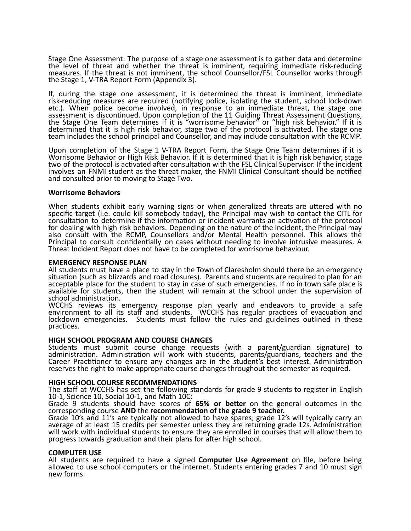Stage One Assessment: The purpose of a stage one assessment is to gather data and determine the level of threat and whether the threat is imminent, requiring immediate risk-reducing measures. If the threat is not imminent, the school Counsellor/FSL Counsellor works through the Stage 1, V-TRA Report Form (Appendix 3).

If, during the stage one assessment, it is determined the threat is imminent, immediate risk-reducing measures are required (notifying police, isolating the student, school lock-down etc.). When police become involved, in response to an immediate threat, the stage one assessment is discontinued. Upon completion of the 11 Guiding Threat Assessment Questions, the Stage One Team determines if it is "worrisome behavior" or "high risk behavior." If it is determined that it is high risk behavior, stage two of the protocol is activated. The stage one team includes the school principal and Counsellor, and may include consultation with the RCMP.

Upon completion of the Stage 1 V-TRA Report Form, the Stage One Team determines if it is Worrisome Behavior or High Risk Behavior. If it is determined that it is high risk behavior, stage two of the protocol is activated after consultation with the FSL Clinical Supervisor. If the incident involves an FNMI student as the threat maker, the FNMI Clinical Consultant should be notified and consulted prior to moving to Stage Two.

## **Worrisome Behaviors**

When students exhibit early warning signs or when generalized threats are uttered with no specific target (i.e. could kill somebody today), the Principal may wish to contact the CITL for consultation to determine if the information or incident warrants an activation of the protocol for dealing with high risk behaviors. Depending on the nature of the incident, the Principal may also consult with the RCMP, Counsellors and/or Mental Health personnel. This allows the Principal to consult confidentially on cases without needing to involve intrusive measures. A Threat Incident Report does not have to be completed for worrisome behaviour.

## **EMERGENCY RESPONSE PLAN**

All students must have a place to stay in the Town of Claresholm should there be an emergency situation (such as blizzards and road closures). Parents and students are required to plan for an acceptable place for the student to stay in case of such emergencies. If no in town safe place is available for students, then the student will remain at the school under the supervision of school administration.

WCCHS reviews its emergency response plan yearly and endeavors to provide a safe environment to all its staff and students. WCCHS has regular practices of evacuation and lockdown emergencies. Students must follow the rules and guidelines outlined in these practices.

## **HIGH SCHOOL PROGRAM AND COURSE CHANGES**

Students must submit course change requests (with a parent/guardian signature) to administration. Administration will work with students, parents/guardians, teachers and the Career Practitioner to ensure any changes are in the student's best interest. Administration reserves the right to make appropriate course changes throughout the semester as required.

## **HIGH SCHOOL COURSE RECOMMENDATIONS**

The staff at WCCHS has set the following standards for grade 9 students to register in English 10-1, Science 10, Social 10-1, and Math 10C:

Grade 9 students should have scores of **65% or better** on the general outcomes in the corresponding course **AND** the **recommendation of the grade 9 teacher.**

Grade 10's and 11's are typically not allowed to have spares; grade 12's will typically carry an average of at least 15 credits per semester unless they are returning grade 12s. Administration will work with individual students to ensure they are enrolled in courses that will allow them to progress towards graduation and their plans for after high school.

## **COMPUTER USE**

All students are required to have a signed **Computer Use Agreement** on file, before being allowed to use school computers or the internet. Students entering grades 7 and 10 must sign new forms.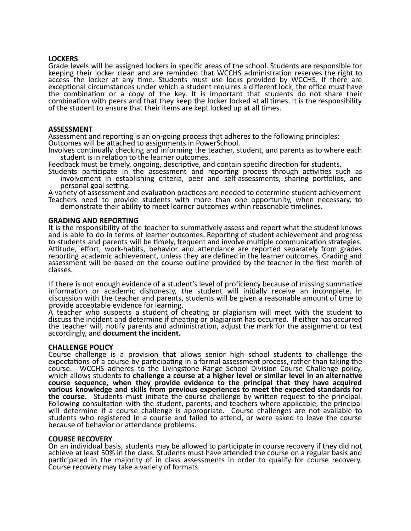## **LOCKERS**

Grade levels will be assigned lockers in specific areas of the school. Students are responsible for keeping their locker clean and are reminded that WCCHS administration reserves the right to access the locker at any time. Students must use locks provided by WCCHS. If there are exceptional circumstances under which a student requires a different lock, the office must have the combination or a copy of the key. It is important that students do not share their combination with peers and that they keep the locker locked at all times. It is the responsibility of the student to ensure that their items are kept locked up at all times.

#### **ASSESSMENT**

Assessment and reporting is an on-going process that adheres to the following principles:

Outcomes will be attached to assignments in PowerSchool.

Involves continually checking and informing the teacher, student, and parents as to where each student is in relation to the learner outcomes.

Feedback must be timely, ongoing, descriptive, and contain specific direction for students.

Students participate in the assessment and reporting process through activities such as involvement in establishing criteria, peer and self-assessments, sharing portfolios, and personal goal setting.

A variety of assessment and evaluation practices are needed to determine student achievement Teachers need to provide students with more than one opportunity, when necessary, to demonstrate their ability to meet learner outcomes within reasonable timelines.

#### **GRADING AND REPORTING**

It is the responsibility of the teacher to summatively assess and report what the student knows and is able to do in terms of learner outcomes. Reporting of student achievement and progress to students and parents will be timely, frequent and involve multiple communication strategies. Attitude, effort, work-habits, behavior and attendance are reported separately from grades reporting academic achievement, unless they are defined in the learner outcomes. Grading and assessment will be based on the course outline provided by the teacher in the first month of classes.

If there is not enough evidence of a student's level of proficiency because of missing summative information or academic dishonesty, the student will initially receive an incomplete. In discussion with the teacher and parents, students will be given a reasonable amount of time to provide acceptable evidence for learning.

A teacher who suspects a student of cheating or plagiarism will meet with the student to discuss the incident and determine if cheating or plagiarism has occurred. If either has occurred the teacher will, notify parents and administration, adjust the mark for the assignment or test accordingly, and **document the incident.**

## **CHALLENGE POLICY**

Course challenge is a provision that allows senior high school students to challenge the expectations of a course by participating in a formal assessment process, rather than taking the course. WCCHS adheres to the Livingstone Range School Division Course Challenge policy, which allows students to **challenge a course at a higher level or similar level in an alternative course sequence, when they provide evidence to the principal that they have acquired various knowledge and skills from previous experiences to meet the expected standards for the course.** Students must initiate the course challenge by written request to the principal. Following consultation with the student, parents, and teachers where applicable, the principal will determine if a course challenge is appropriate. Course challenges are not available to students who registered in a course and failed to attend, or were asked to leave the course because of behavior or attendance problems.

## **COURSE RECOVERY**

On an individual basis, students may be allowed to participate in course recovery if they did not achieve at least 50% in the class. Students must have attended the course on a regular basis and participated in the majority of in class assessments in order to qualify for course recovery. Course recovery may take a variety of formats.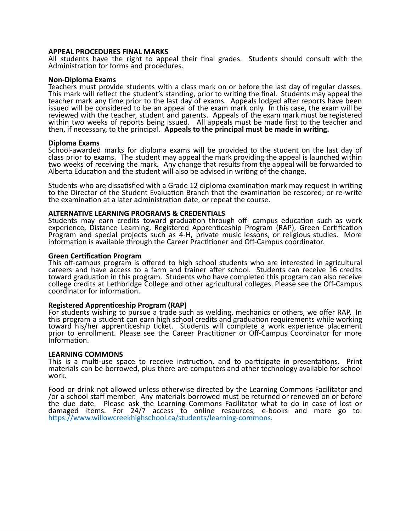#### **APPEAL PROCEDURES FINAL MARKS**

All students have the right to appeal their final grades. Students should consult with the Administration for forms and procedures.

#### **Non-Diploma Exams**

Teachers must provide students with a class mark on or before the last day of regular classes. This mark will reflect the student's standing, prior to writing the final. Students may appeal the teacher mark any time prior to the last day of exams. Appeals lodged after reports have been issued will be considered to be an appeal of the exam mark only. In this case, the exam will be reviewed with the teacher, student and parents. Appeals of the exam mark must be registered within two weeks of reports being issued. All appeals must be made first to the teacher and then, if necessary, to the principal. **Appeals to the principal must be made in writing.**

#### **Diploma Exams**

School-awarded marks for diploma exams will be provided to the student on the last day of class prior to exams. The student may appeal the mark providing the appeal is launched within two weeks of receiving the mark. Any change that results from the appeal will be forwarded to Alberta Education and the student will also be advised in writing of the change.

Students who are dissatisfied with a Grade 12 diploma examination mark may request in writing to the Director of the Student Evaluation Branch that the examination be rescored; or re-write the examination at a later administration date, or repeat the course.

## **ALTERNATIVE LEARNING PROGRAMS & CREDENTIALS**

Students may earn credits toward graduation through off- campus education such as work experience, Distance Learning, Registered Apprenticeship Program (RAP), Green Certification Program and special projects such as 4-H, private music lessons, or religious studies. More information is available through the Career Practitioner and Off-Campus coordinator.

#### **Green Certification Program**

This off-campus program is offered to high school students who are interested in agricultural careers and have access to a farm and trainer after school. Students can receive 16 credits toward graduation in this program. Students who have completed this program can also receive college credits at Lethbridge College and other agricultural colleges. Please see the Off-Campus coordinator for information.

## **Registered Apprenticeship Program (RAP)**

For students wishing to pursue a trade such as welding, mechanics or others, we offer RAP. In this program a student can earn high school credits and graduation requirements while working toward his/her apprenticeship ticket. Students will complete a work experience placement prior to enrollment. Please see the Career Practitioner or Off-Campus Coordinator for more Information.

## **LEARNING COMMONS**

This is a multi-use space to receive instruction, and to participate in presentations. Print materials can be borrowed, plus there are computers and other technology available for school work.

Food or drink not allowed unless otherwise directed by the Learning Commons Facilitator and /or a school staff member. Any materials borrowed must be returned or renewed on or before the due date. Please ask the Learning Commons Facilitator what to do in case of lost or damaged items. For 24/7 access to online resources, e-books and more go to: [https://www.willowcreekhighschool.ca/students/learning-commons.](https://www.willowcreekhighschool.ca/students/learning-commons)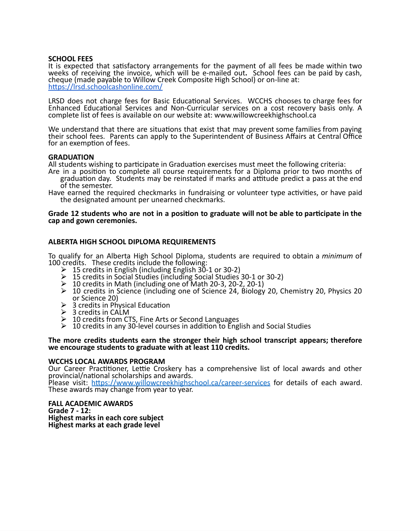## **SCHOOL FEES**

It is expected that satisfactory arrangements for the payment of all fees be made within two weeks of receiving the invoice, which will be e-mailed out**.** School fees can be paid by cash, cheque (made payable to Willow Creek Composite High School) or on-line at: <https://lrsd.schoolcashonline.com/>

LRSD does not charge fees for Basic Educational Services. WCCHS chooses to charge fees for Enhanced Educational Services and Non-Curricular services on a cost recovery basis only. A complete list of fees is available on our website at: www.willowcreekhighschool.ca

We understand that there are situations that exist that may prevent some families from paying their school fees. Parents can apply to the Superintendent of Business Affairs at Central Office for an exemption of fees.

## **GRADUATION**

All students wishing to participate in Graduation exercises must meet the following criteria:

- Are in a position to complete all course requirements for a Diploma prior to two months of graduation day. Students may be reinstated if marks and attitude predict a pass at the end of the semester.
- Have earned the required checkmarks in fundraising or volunteer type activities, or have paid the designated amount per unearned checkmarks.

## Grade 12 students who are not in a position to graduate will not be able to participate in the **cap and gown ceremonies.**

# **ALBERTA HIGH SCHOOL DIPLOMA REQUIREMENTS**

To qualify for an Alberta High School Diploma, students are required to obtain a *minimum* of 100 credits. These credits include the following:

- $\geq 15$  credits in English (including English 30-1 or 30-2)
- ⮚ 15 credits in Social Studies (including Social Studies 30-1 or 30-2)
- $\geq 10$  credits in Math (including one of Math 20-3, 20-2, 20-1)
- $\geq 10$  credits in Science (including one of Science 24, Biology 20, Chemistry 20, Physics 20 or Science 20)
- $\geq 3$  credits in Physical Education
- $\triangleright$  3 credits in CALM
- $\geq 10$  credits from CTS, Fine Arts or Second Languages
- $\triangleright$  10 credits in any 30-level courses in addition to English and Social Studies

#### **The more credits students earn the stronger their high school transcript appears; therefore we encourage students to graduate with at least 110 credits.**

## **WCCHS LOCAL AWARDS PROGRAM**

Our Career Practitioner, Lettie Croskery has a comprehensive list of local awards and other provincial/national scholarships and awards.

Please visit: <https://www.willowcreekhighschool.ca/career-services> for details of each award. These awards may change from year to year.

**FALL ACADEMIC AWARDS Grade 7 - 12: Highest marks in each core subject Highest marks at each grade level**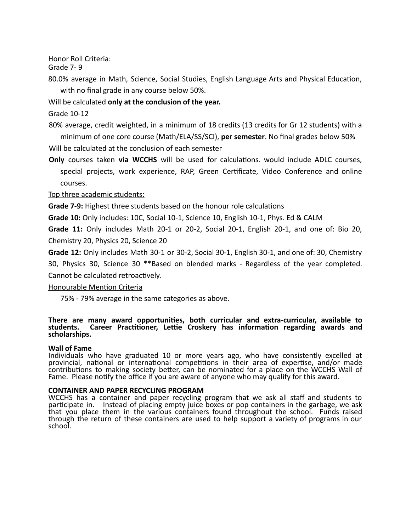Honor Roll Criteria:

Grade 7- 9

80.0% average in Math, Science, Social Studies, English Language Arts and Physical Education, with no final grade in any course below 50%.

Will be calculated **only at the conclusion of the year.**

Grade 10-12

80% average, credit weighted, in a minimum of 18 credits (13 credits for Gr 12 students) with a minimum of one core course (Math/ELA/SS/SCI), **per semester**. No final grades below 50%

Will be calculated at the conclusion of each semester

**Only** courses taken **via WCCHS** will be used for calculations. would include ADLC courses, special projects, work experience, RAP, Green Certificate, Video Conference and online courses.

Top three academic students:

**Grade 7-9:** Highest three students based on the honour role calculations

**Grade 10:** Only includes: 10C, Social 10-1, Science 10, English 10-1, Phys. Ed & CALM

**Grade 11:** Only includes Math 20-1 or 20-2, Social 20-1, English 20-1, and one of: Bio 20, Chemistry 20, Physics 20, Science 20

**Grade 12:** Only includes Math 30-1 or 30-2, Social 30-1, English 30-1, and one of: 30, Chemistry 30, Physics 30, Science 30 \*\*Based on blended marks - Regardless of the year completed. Cannot be calculated retroactively.

Honourable Mention Criteria

75% - 79% average in the same categories as above.

## **There are many award opportunities, both curricular and extra-curricular, available to students. Career Practitioner, Lettie Croskery has information regarding awards and scholarships.**

# **Wall of Fame**

Individuals who have graduated 10 or more years ago, who have consistently excelled at provincial, national or international competitions in their area of expertise, and/or made contributions to making society better, can be nominated for a place on the WCCHS Wall of Fame. Please notify the office if you are aware of anyone who may qualify for this award.

## **CONTAINER AND PAPER RECYCLING PROGRAM**

WCCHS has a container and paper recycling program that we ask all staff and students to participate in. Instead of placing empty juice boxes or pop containers in the garbage, we ask that you place them in the various containers found throughout the school. Funds raised through the return of these containers are used to help support a variety of programs in our school.